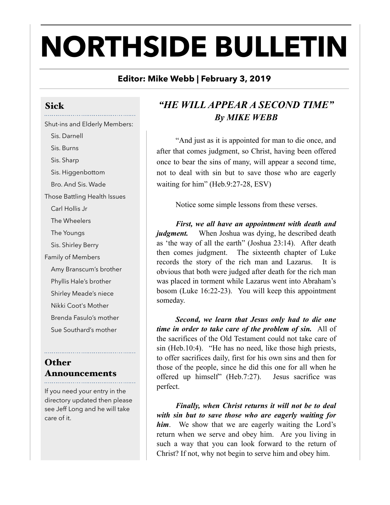# **NORTHSIDE BULLETIN**

#### **Editor: Mike Webb | February 3, 2019**

#### Sick

Shut-ins and Elderly Members: Sis. Darnell Sis. Burns Sis. Sharp Sis. Higgenbottom Bro. And Sis. Wade Those Battling Health Issues Carl Hollis Jr The Wheelers The Youngs Sis. Shirley Berry Family of Members Amy Branscum's brother Phyllis Hale's brother Shirley Meade's niece Nikki Coot's Mother Brenda Fasulo's mother Sue Southard's mother

## **Other** Announcements

If you need your entry in the directory updated then please see Jeff Long and he will take care of it.

## *"HE WILL APPEAR A SECOND TIME" By MIKE WEBB*

 "And just as it is appointed for man to die once, and after that comes judgment, so Christ, having been offered once to bear the sins of many, will appear a second time, not to deal with sin but to save those who are eagerly waiting for him" (Heb.9:27-28, ESV)

Notice some simple lessons from these verses.

*First, we all have an appointment with death and judgment.* When Joshua was dying, he described death as 'the way of all the earth" (Joshua 23:14). After death then comes judgment. The sixteenth chapter of Luke records the story of the rich man and Lazarus. It is obvious that both were judged after death for the rich man was placed in torment while Lazarus went into Abraham's bosom (Luke 16:22-23). You will keep this appointment someday.

*Second, we learn that Jesus only had to die one time in order to take care of the problem of sin.* All of the sacrifices of the Old Testament could not take care of sin (Heb.10:4). "He has no need, like those high priests, to offer sacrifices daily, first for his own sins and then for those of the people, since he did this one for all when he offered up himself" (Heb.7:27). Jesus sacrifice was perfect.

*Finally, when Christ returns it will not be to deal with sin but to save those who are eagerly waiting for him*. We show that we are eagerly waiting the Lord's return when we serve and obey him. Are you living in such a way that you can look forward to the return of Christ? If not, why not begin to serve him and obey him.